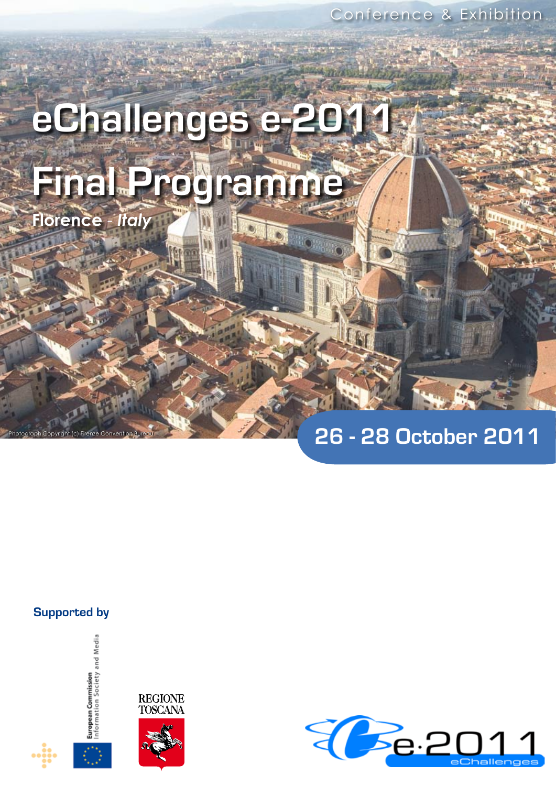# **eChallenges e-2011 Final Programme**

**BUONER** 

61

**Florence** - *Italy*

# **26 - 28 October 2011**

# **Supported by**

Photograph Copyright (c) Firenze Convention Bureau





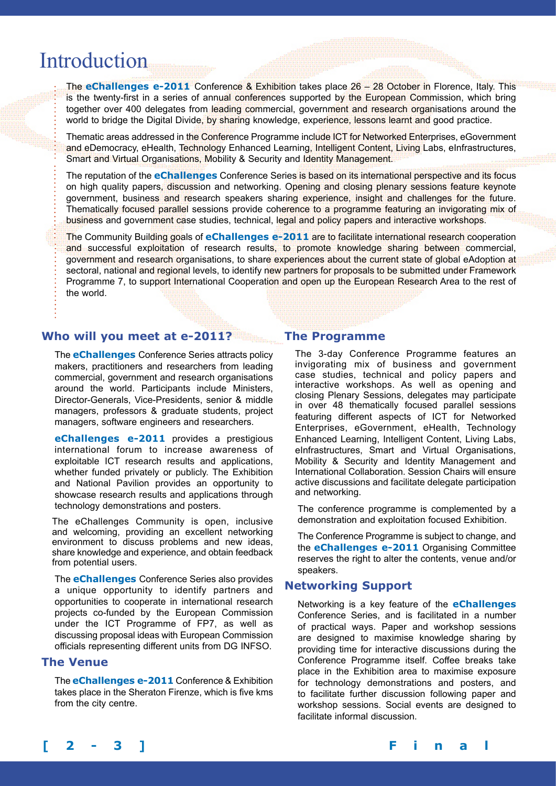# Introduction

The **eChallenges e-2011** Conference & Exhibition takes place 26 – 28 October in Florence, Italy. This is the twenty-first in a series of annual conferences supported by the European Commission, which bring together over 400 delegates from leading commercial, government and research organisations around the world to bridge the Digital Divide, by sharing knowledge, experience, lessons learnt and good practice.

Thematic areas addressed in the Conference Programme include ICT for Networked Enterprises, eGovernment and eDemocracy, eHealth, Technology Enhanced Learning, Intelligent Content, Living Labs, eInfrastructures, Smart and Virtual Organisations, Mobility & Security and Identity Management.

The reputation of the **eChallenges** Conference Series is based on its international perspective and its focus on high quality papers, discussion and networking. Opening and closing plenary sessions feature keynote government, business and research speakers sharing experience, insight and challenges for the future. Thematically focused parallel sessions provide coherence to a programme featuring an invigorating mix of business and government case studies, technical, legal and policy papers and interactive workshops.

The Community Building goals of **eChallenges e-2011** are to facilitate international research cooperation and successful exploitation of research results, to promote knowledge sharing between commercial, government and research organisations, to share experiences about the current state of global eAdoption at sectoral, national and regional levels, to identify new partners for proposals to be submitted under Framework Programme 7, to support International Cooperation and open up the European Research Area to the rest of the world.

# **Who will you meet at e-2011?**

The **eChallenges** Conference Series attracts policy makers, practitioners and researchers from leading commercial, government and research organisations around the world. Participants include Ministers, Director-Generals, Vice-Presidents, senior & middle managers, professors & graduate students, project managers, software engineers and researchers.

**eChallenges e-2011** provides a prestigious international forum to increase awareness of exploitable ICT research results and applications, whether funded privately or publicly. The Exhibition and National Pavilion provides an opportunity to showcase research results and applications through technology demonstrations and posters.

The eChallenges Community is open, inclusive and welcoming, providing an excellent networking environment to discuss problems and new ideas, share knowledge and experience, and obtain feedback from potential users.

The **eChallenges** Conference Series also provides a unique opportunity to identify partners and opportunities to cooperate in international research projects co-funded by the European Commission under the ICT Programme of FP7, as well as discussing proposal ideas with European Commission officials representing different units from DG INFSO.

## **The Venue**

The **eChallenges e-2011** Conference & Exhibition takes place in the Sheraton Firenze, which is five kms from the city centre.

# **The Programme**

The 3-day Conference Programme features an invigorating mix of business and government case studies, technical and policy papers and interactive workshops. As well as opening and closing Plenary Sessions, delegates may participate in over 48 thematically focused parallel sessions featuring different aspects of ICT for Networked Enterprises, eGovernment, eHealth, Technology Enhanced Learning, Intelligent Content, Living Labs, eInfrastructures, Smart and Virtual Organisations, Mobility & Security and Identity Management and International Collaboration. Session Chairs will ensure active discussions and facilitate delegate participation and networking.

The conference programme is complemented by a demonstration and exploitation focused Exhibition.

The Conference Programme is subject to change, and the **eChallenges e-2011** Organising Committee reserves the right to alter the contents, venue and/or speakers.

# **Networking Support**

Networking is a key feature of the **eChallenges** Conference Series, and is facilitated in a number of practical ways. Paper and workshop sessions are designed to maximise knowledge sharing by providing time for interactive discussions during the Conference Programme itself. Coffee breaks take place in the Exhibition area to maximise exposure for technology demonstrations and posters, and to facilitate further discussion following paper and workshop sessions. Social events are designed to facilitate informal discussion.

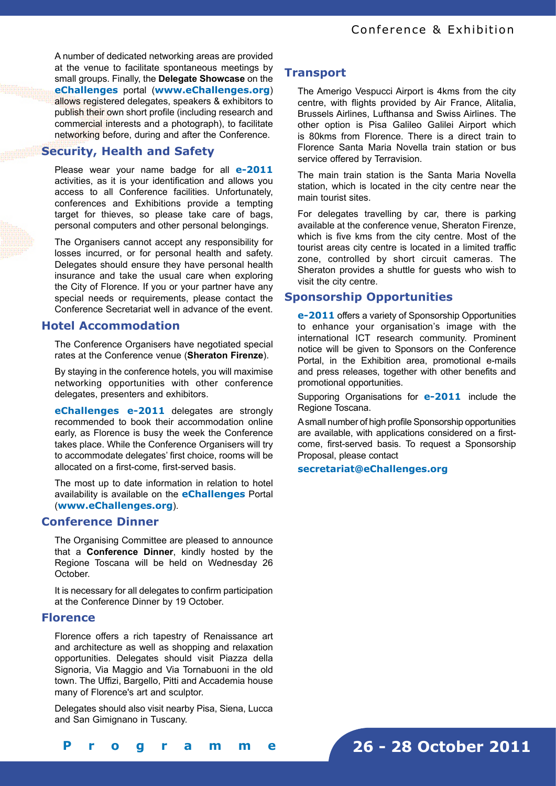A number of dedicated networking areas are provided at the venue to facilitate spontaneous meetings by small groups. Finally, the **Delegate Showcase** on the **eChallenges** portal (**www.eChallenges.org**) allows registered delegates, speakers & exhibitors to publish their own short profile (including research and commercial interests and a photograph), to facilitate networking before, during and after the Conference.

# **Security, Health and Safety**

Please wear your name badge for all **e-2011**  activities, as it is your identification and allows you access to all Conference facilities. Unfortunately, conferences and Exhibitions provide a tempting target for thieves, so please take care of bags, personal computers and other personal belongings.

The Organisers cannot accept any responsibility for losses incurred, or for personal health and safety. Delegates should ensure they have personal health insurance and take the usual care when exploring the City of Florence. If you or your partner have any special needs or requirements, please contact the Conference Secretariat well in advance of the event.

# **Hotel Accommodation**

The Conference Organisers have negotiated special rates at the Conference venue (**Sheraton Firenze**).

By staying in the conference hotels, you will maximise networking opportunities with other conference delegates, presenters and exhibitors.

**eChallenges e-2011** delegates are strongly recommended to book their accommodation online early, as Florence is busy the week the Conference takes place. While the Conference Organisers will try to accommodate delegates' first choice, rooms will be allocated on a first-come, first-served basis.

The most up to date information in relation to hotel availability is available on the **eChallenges** Portal (**www.eChallenges.org**).

# **Conference Dinner**

The Organising Committee are pleased to announce that a **Conference Dinner**, kindly hosted by the Regione Toscana will be held on Wednesday 26 October.

It is necessary for all delegates to confirm participation at the Conference Dinner by 19 October.

# **Florence**

Florence offers a rich tapestry of Renaissance art and architecture as well as shopping and relaxation opportunities. Delegates should visit Piazza della Signoria, Via Maggio and Via Tornabuoni in the old town. The Uffizi, Bargello, Pitti and Accademia house many of Florence's art and sculptor.

Delegates should also visit nearby Pisa, Siena, Lucca and San Gimignano in Tuscany.

# **Transport**

The Amerigo Vespucci Airport is 4kms from the city centre, with flights provided by Air France, Alitalia, Brussels Airlines, Lufthansa and Swiss Airlines. The other option is Pisa Galileo Galilei Airport which is 80kms from Florence. There is a direct train to Florence Santa Maria Novella train station or bus service offered by Terravision.

The main train station is the Santa Maria Novella station, which is located in the city centre near the main tourist sites.

For delegates travelling by car, there is parking available at the conference venue, Sheraton Firenze, which is five kms from the city centre. Most of the tourist areas city centre is located in a limited traffic zone, controlled by short circuit cameras. The Sheraton provides a shuttle for guests who wish to visit the city centre.

# **Sponsorship Opportunities**

**e-2011** offers a variety of Sponsorship Opportunities to enhance your organisation's image with the international ICT research community. Prominent notice will be given to Sponsors on the Conference Portal, in the Exhibition area, promotional e-mails and press releases, together with other benefits and promotional opportunities.

Supporing Organisations for **e-2011** include the Regione Toscana.

A small number of high profile Sponsorship opportunities are available, with applications considered on a firstcome, first-served basis. To request a Sponsorship Proposal, please contact

**secretariat@eChallenges.org**

**[ 2 - 3 ] F i n a l P r o g r a m m e**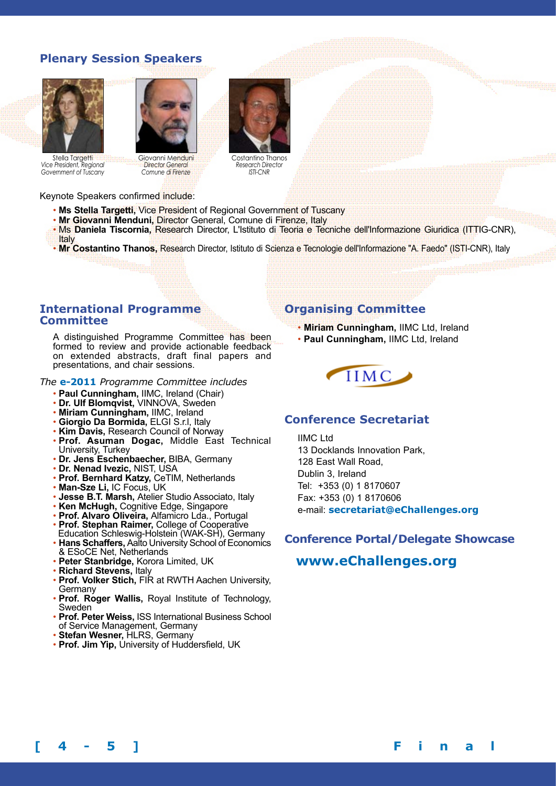# **Plenary Session Speakers**





Stella Targetti *Vice President, Regional Government of Tuscany* 

Giovanni Menduni *Director General Comune di Firenze* 



Costantino Thanos *Research Director ISTI-CNR* 

Keynote Speakers confirmed include:

- **Ms Stella Targetti,** Vice President of Regional Government of Tuscany
- **Mr Giovanni Menduni,** Director General, Comune di Firenze, Italy
- Ms **Daniela Tiscornia,** Research Director, L'Istituto di Teoria e Tecniche dell'Informazione Giuridica (ITTIG-CNR), Italy
- **Mr Costantino Thanos,** Research Director, Istituto di Scienza e Tecnologie dell'Informazione "A. Faedo" (ISTI-CNR), Italy

# **International Programme Committee**

A distinguished Programme Committee has been formed to review and provide actionable feedback on extended abstracts, draft final papers and presentations, and chair sessions.

#### *The* **e-2011** *Programme Committee includes*

- **Paul Cunningham,** IIMC, Ireland (Chair)
- **Dr. Ulf Blomqvist,** VINNOVA, Sweden
- **Miriam Cunningham,** IIMC, Ireland
- **Giorgio Da Bormida,** ELGI S.r.l, Italy
- **Kim Davis,** Research Council of Norway
- **Prof. Asuman Dogac,** Middle East Technical University, Turkey
- **Dr. Jens Eschenbaecher,** BIBA, Germany
- **Dr. Nenad Ivezic,** NIST, USA
- **Prof. Bernhard Katzy,** CeTIM, Netherlands
- **Man-Sze Li,** IC Focus, UK
- **Jesse B.T. Marsh,** Atelier Studio Associato, Italy
- **Ken McHugh,** Cognitive Edge, Singapore
- **Prof. Alvaro Oliveira,** Alfamicro Lda., Portugal
- **Prof. Stephan Raimer,** College of Cooperative Education Schleswig-Holstein (WAK-SH), Germany
- **Hans Schaffers,** Aalto University School of Economics & ESoCE Net, Netherlands
- **Peter Stanbridge,** Korora Limited, UK
- **Richard Stevens,** Italy
- **Prof. Volker Stich,** FIR at RWTH Aachen University, Germany
- **Prof. Roger Wallis,** Royal Institute of Technology, Sweden
- **Prof. Peter Weiss,** ISS International Business School of Service Management, Germany
- **Stefan Wesner,** HLRS, Germany
- **Prof. Jim Yip,** University of Huddersfield, UK

# **Organising Committee**

• **Miriam Cunningham,** IIMC Ltd, Ireland • **Paul Cunningham,** IIMC Ltd, Ireland



# **Conference Secretariat**

IIMC Ltd 13 Docklands Innovation Park, 128 East Wall Road, Dublin 3, Ireland Tel: +353 (0) 1 8170607 Fax: +353 (0) 1 8170606 e-mail: **secretariat@eChallenges.org**

# **Conference Portal/Delegate Showcase**

# **www.eChallenges.org**

**[ 4 - 5 ] F i n a l P r o g r a m m e**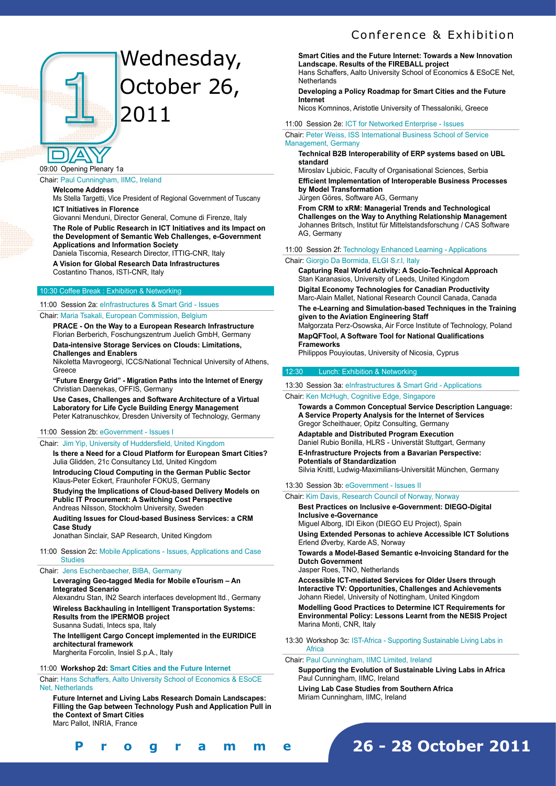# Wednesday, October 26, 2011

09:00 Opening Plenary 1a

#### Chair: Paul Cunningham, IIMC, Ireland

#### **Welcome Address**

Ms Stella Targetti, Vice President of Regional Government of Tuscany **ICT Initiatives in Florence** 

Giovanni Menduni, Director General, Comune di Firenze, Italy

**The Role of Public Research in ICT Initiatives and its Impact on the Development of Semantic Web Challenges, e-Government Applications and Information Society** 

Daniela Tiscornia, Research Director, ITTIG-CNR, Italy **A Vision for Global Research Data Infrastructures**  Costantino Thanos, ISTI-CNR, Italy

#### 10:30 Coffee Break : Exhibition & Networking

11:00 Session 2a: eInfrastructures & Smart Grid - Issues Chair: Maria Tsakali, European Commission, Belgium

**PRACE - On the Way to a European Research Infrastructure**  Florian Berberich, Foschungszentrum Juelich GmbH, Germany **Data-intensive Storage Services on Clouds: Limitations,** 

**Challenges and Enablers**  Nikoletta Mavrogeorgi, ICCS/National Technical University of Athens,

Greece

**"Future Energy Grid" - Migration Paths into the Internet of Energy**  Christian Daenekas, OFFIS, Germany

**Use Cases, Challenges and Software Architecture of a Virtual Laboratory for Life Cycle Building Energy Management**  Peter Katranuschkov, Dresden University of Technology, Germany

#### 11:00 Session 2b: eGovernment - Issues I

#### Chair: Jim Yip, University of Huddersfield, United Kingdom

**Is there a Need for a Cloud Platform for European Smart Cities?**  Julia Glidden, 21c Consultancy Ltd, United Kingdom

**Introducing Cloud Computing in the German Public Sector**  Klaus-Peter Eckert, Fraunhofer FOKUS, Germany

**Studying the Implications of Cloud-based Delivery Models on Public IT Procurement: A Switching Cost Perspective**  Andreas Nilsson, Stockholm University, Sweden

**Auditing Issues for Cloud-based Business Services: a CRM Case Study** 

Jonathan Sinclair, SAP Research, United Kingdom

#### 11:00 Session 2c: Mobile Applications - Issues, Applications and Case **Studies**

#### Chair: Jens Eschenbaecher, BIBA, Germany

**Leveraging Geo-tagged Media for Mobile eTourism – An Integrated Scenario**

Alexandru Stan, IN2 Search interfaces development ltd., Germany **Wireless Backhauling in Intelligent Transportation Systems: Results from the IPERMOB project** Susanna Sudati, Intecs spa, Italy

**The Intelligent Cargo Concept implemented in the EURIDICE architectural framework**

Margherita Forcolin, Insiel S.p.A., Italy

**[ 4 - 5 ] F i n a l P r o g r a m m e**

#### 11:00 **Workshop 2d: Smart Cities and the Future Internet**

Chair: Hans Schaffers, Aalto University School of Economics & ESoCE Net, Netherlands

**Future Internet and Living Labs Research Domain Landscapes: Filling the Gap between Technology Push and Application Pull in the Context of Smart Cities** Marc Pallot, INRIA, France

**Smart Cities and the Future Internet: Towards a New Innovation Landscape. Results of the FIREBALL project**  Hans Schaffers, Aalto University School of Economics & ESoCE Net, **Netherlands** 

**Developing a Policy Roadmap for Smart Cities and the Future Internet**

Nicos Komninos, Aristotle University of Thessaloniki, Greece

11:00 Session 2e: ICT for Networked Enterprise - Issues

Chair: Peter Weiss, ISS International Business School of Service Management, Germany

**Technical B2B Interoperability of ERP systems based on UBL standard**

Miroslav Liubicic, Faculty of Organisational Sciences, Serbia

**Efficient Implementation of Interoperable Business Processes by Model Transformation**

Jürgen Göres, Software AG, Germany

**From CRM to xRM: Managerial Trends and Technological Challenges on the Way to Anything Relationship Management** Johannes Britsch, Institut für Mittelstandsforschung / CAS Software AG, Germany

11:00 Session 2f: Technology Enhanced Learning - Applications

#### Chair: Giorgio Da Bormida, ELGI S.r.l, Italy

**Capturing Real World Activity: A Socio-Technical Approach** Stan Karanasios, University of Leeds, United Kingdom

**Digital Economy Technologies for Canadian Productivity** Marc-Alain Mallet, National Research Council Canada, Canada

**The e-Learning and Simulation-based Techniques in the Training given to the Aviation Engineering Staff**

Małgorzata Perz-Osowska, Air Force Institute of Technology, Poland **MapQFTool, A Software Tool for National Qualifications** 

**Frameworks**

Philippos Pouyioutas, University of Nicosia, Cyprus

#### 12:30 Lunch: Exhibition & Networking

13:30 Session 3a: eInfrastructures & Smart Grid - Applications

Chair: Ken McHugh, Cognitive Edge, Singapore

**Towards a Common Conceptual Service Description Language: A Service Property Analysis for the Internet of Services** Gregor Scheithauer, Opitz Consulting, Germany **Adaptable and Distributed Program Execution**

Daniel Rubio Bonilla, HLRS - Universtät Stuttgart, Germany **E-Infrastructure Projects from a Bavarian Perspective:** 

**Potentials of Standardization**  Silvia Knittl, Ludwig-Maximilians-Universität München, Germany

13:30 Session 3b: eGovernment - Issues II

#### Chair: Kim Davis, Research Council of Norway, Norway

**Best Practices on Inclusive e-Government: DIEGO-Digital Inclusive e-Governance** 

Miguel Alborg, IDI Eikon (DIEGO EU Project), Spain

**Using Extended Personas to achieve Accessible ICT Solutions**  Erlend Øverby, Karde AS, Norway

**Towards a Model-Based Semantic e-Invoicing Standard for the Dutch Government** 

Jasper Roes, TNO, Netherlands

**Accessible ICT-mediated Services for Older Users through Interactive TV: Opportunities, Challenges and Achievements**  Johann Riedel, University of Nottingham, United Kingdom

**Modelling Good Practices to Determine ICT Requirements for Environmental Policy: Lessons Learnt from the NESIS Project**  Marina Monti, CNR, Italy

13:30 Workshop 3c: IST-Africa - Supporting Sustainable Living Labs in **Africa** 

#### Chair: Paul Cunningham, IIMC Limited, Ireland

**Supporting the Evolution of Sustainable Living Labs in Africa** Paul Cunningham, IIMC, Ireland **Living Lab Case Studies from Southern Africa** Miriam Cunningham, IIMC, Ireland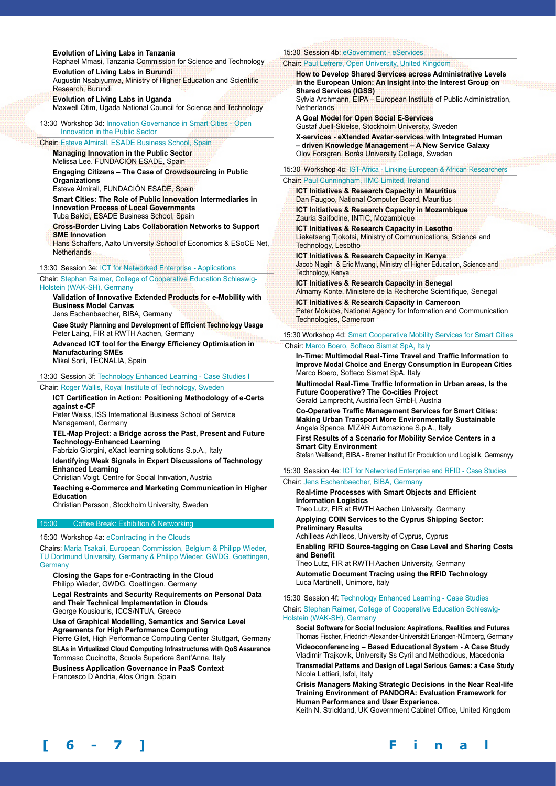#### **Evolution of Living Labs in Tanzania**

Raphael Mmasi, Tanzania Commission for Science and Technology **Evolution of Living Labs in Burundi**

Augustin Nsabiyumva, Ministry of Higher Education and Scientific Research, Burundi

**Evolution of Living Labs in Uganda** Maxwell Otim, Ugada National Council for Science and Technology

13:30 Workshop 3d: Innovation Governance in Smart Cities - Open Innovation in the Public Sector

#### Chair: Esteve Almirall, ESADE Business School, Spain

**Managing Innovation in the Public Sector**  Melissa Lee, FUNDACIÓN ESADE, Spain

**Engaging Citizens – The Case of Crowdsourcing in Public Organizations** 

Esteve Almirall, FUNDACIÓN ESADE, Spain

**Smart Cities: The Role of Public Innovation Intermediaries in Innovation Process of Local Governments**  Tuba Bakici, ESADE Business School, Spain

**Cross-Border Living Labs Collaboration Networks to Support SME Innovation** 

Hans Schaffers, Aalto University School of Economics & ESoCE Net, **Netherlands** 

13:30 Session 3e: ICT for Networked Enterprise - Applications

Chair: Stephan Raimer, College of Cooperative Education Schleswig-Holstein (WAK-SH), Germany

**Validation of Innovative Extended Products for e-Mobility with Business Model Canvas**

Jens Eschenbaecher, BIBA, Germany

**Case Study Planning and Development of Efficient Technology Usage** Peter Laing, FIR at RWTH Aachen, Germany

**Advanced ICT tool for the Energy Efficiency Optimisation in Manufacturing SMEs**

Mikel Sorli, TECNALIA, Spain

# 13:30 Session 3f: Technology Enhanced Learning - Case Studies I

Chair: Roger Wallis, Royal Institute of Technology, Sweden

**ICT Certification in Action: Positioning Methodology of e-Certs against e-CF** 

Peter Weiss, ISS International Business School of Service Management, Germany

**TEL-Map Project: a Bridge across the Past, Present and Future Technology-Enhanced Learning** 

Fabrizio Giorgini, eXact learning solutions S.p.A., Italy

**Identifying Weak Signals in Expert Discussions of Technology Enhanced Learning** 

Christian Voigt, Centre for Social Innvation, Austria

**Teaching e-Commerce and Marketing Communication in Higher Education** 

Christian Persson, Stockholm University, Sweden

# 15:00 Coffee Break: Exhibition & Networking

15:30 Workshop 4a: eContracting in the Clouds

Chairs: Maria Tsakali, European Commission, Belgium & Philipp Wieder, TU Dortmund University, Germany & Philipp Wieder, GWDG, Goettingen, **Germany** 

**Closing the Gaps for e-Contracting in the Cloud**  Philipp Wieder, GWDG, Goettingen, Germany

**Legal Restraints and Security Requirements on Personal Data and Their Technical Implementation in Clouds**  George Kousiouris, ICCS/NTUA, Greece

**Use of Graphical Modelling, Semantics and Service Level Agreements for High Performance Computing** 

Pierre Gilet, High Performance Computing Center Stuttgart, Germany **SLAs in Virtualized Cloud Computing Infrastructures with QoS Assurance**  Tommaso Cucinotta, Scuola Superiore Sant'Anna, Italy

**Business Application Governance in PaaS Context** 

Francesco D'Andria, Atos Origin, Spain

# 15:30 Session 4b: eGovernment - eServices

#### Chair: Paul Lefrere, Open University, United Kingdom

**How to Develop Shared Services across Administrative Levels in the European Union: An Insight into the Interest Group on Shared Services (IGSS)** Sylvia Archmann, EIPA – European Institute of Public Administration, **Netherlands** 

**A Goal Model for Open Social E-Services** Gustaf Juell-Skielse, Stockholm University, Sweden **X-services - eXtended Avatar-services with Integrated Human – driven Knowledge Management – A New Service Galaxy**

Olov Forsgren, Borås University College, Sweden

15:30 Workshop 4c: IST-Africa - Linking European & African Researchers Chair: Paul Cunningham, IIMC Limited, Ireland

**ICT Initiatives & Research Capacity in Mauritius**  Dan Faugoo, National Computer Board, Mauritius

**ICT Initiatives & Research Capacity in Mozambique**  Zauria Saifodine, INTIC, Mozambique

**ICT Initiatives & Research Capacity in Lesotho**  Lieketseng Tjokotsi, Ministry of Communications, Science and Technology, Lesotho

**ICT Initiatives & Research Capacity in Kenya**  Jacob Njagih & Eric Mwangi, Ministry of Higher Education, Science and Technology, Kenya

**ICT Initiatives & Research Capacity in Senegal**  Almamy Konte, Ministere de la Recherche Scientifique, Senegal **ICT Initiatives & Research Capacity in Cameroon** 

Peter Mokube, National Agency for Information and Communication Technologies, Cameroon

15:30 Workshop 4d: Smart Cooperative Mobility Services for Smart Cities

#### Chair: Marco Boero, Softeco Sismat SpA, Italy

**In-Time: Multimodal Real-Time Travel and Traffic Information to Improve Modal Choice and Energy Consumption in European Cities**  Marco Boero, Softeco Sismat SpA, Italy

**Multimodal Real-Time Traffic Information in Urban areas, Is the Future Cooperative? The Co-cities Project** Gerald Lamprecht, AustriaTech GmbH, Austria

**Co-Operative Traffic Management Services for Smart Cities: Making Urban Transport More Environmentally Sustainable**  Angela Spence, MIZAR Automazione S.p.A., Italy

**First Results of a Scenario for Mobility Service Centers in a Smart City Environment** 

Stefan Wellsandt, BIBA - Bremer Institut für Produktion und Logistik, Germanyy

15:30 Session 4e: ICT for Networked Enterprise and RFID - Case Studies

#### Chair: Jens Eschenbaecher, BIBA, Germany

**Real-time Processes with Smart Objects and Efficient Information Logistics** Theo Lutz, FIR at RWTH Aachen University, Germany

**Applying COIN Services to the Cyprus Shipping Sector: Preliminary Results**

Achilleas Achilleos, University of Cyprus, Cyprus

**Enabling RFID Source-tagging on Case Level and Sharing Costs and Benefit**

Theo Lutz, FIR at RWTH Aachen University, Germany **Automatic Document Tracing using the RFID Technology** Luca Martinelli, Unimore, Italy

15:30 Session 4f: Technology Enhanced Learning - Case Studies Chair: Stephan Raimer, College of Cooperative Education Schleswig-Holstein (WAK-SH), Germany

**Social Software for Social Inclusion: Aspirations, Realities and Futures**  Thomas Fischer, Friedrich-Alexander-Universität Erlangen-Nürnberg, Germany

**Videoconferencing – Based Educational System - A Case Study**  Vladimir Trajkovik, University Ss Cyril and Methodious, Macedonia

**Transmedial Patterns and Design of Legal Serious Games: a Case Study**  Nicola Lettieri, Isfol, Italy

**Crisis Managers Making Strategic Decisions in the Near Real-life Training Environment of PANDORA: Evaluation Framework for Human Performance and User Experience.** 

Keith N. Strickland, UK Government Cabinet Office, United Kingdom

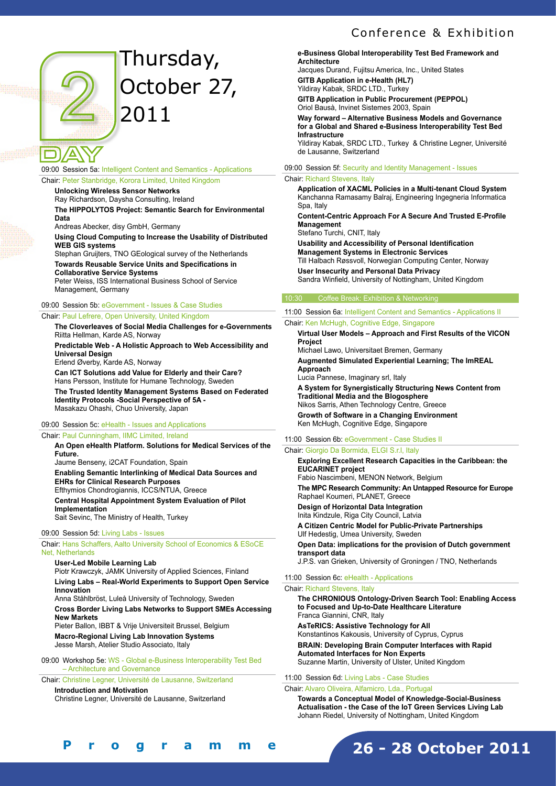

# Thursday, October 27, 2011

09:00 Session 5a: Intelligent Content and Semantics - Applications Chair: Peter Stanbridge, Korora Limited, United Kingdom

**Unlocking Wireless Sensor Networks**

Ray Richardson, Daysha Consulting, Ireland **The HIPPOLYTOS Project: Semantic Search for Environmental Data**

Andreas Abecker, disy GmbH, Germany

**Using Cloud Computing to Increase the Usability of Distributed WEB GIS systems**

Stephan Gruijters, TNO GEological survey of the Netherlands **Towards Reusable Service Units and Specifications in Collaborative Service Systems**

Peter Weiss, ISS International Business School of Service Management, Germany

#### 09:00 Session 5b: eGovernment - Issues & Case Studies

#### Chair: Paul Lefrere, Open University, United Kingdom

**The Cloverleaves of Social Media Challenges for e-Governments** Riitta Hellman, Karde AS, Norway **Predictable Web - A Holistic Approach to Web Accessibility and** 

**Universal Design** Erlend Øverby, Karde AS, Norway

**Can ICT Solutions add Value for Elderly and their Care?**

Hans Persson, Institute for Humane Technology, Sweden

**The Trusted Identity Management Systems Based on Federated Identity Protocols -Social Perspective of 5A -** Masakazu Ohashi, Chuo University, Japan

09:00 Session 5c: eHealth - Issues and Applications

Chair: Paul Cunningham, IIMC Limited, Ireland

#### **An Open eHealth Platform. Solutions for Medical Services of the Future.**  Jaume Benseny, i2CAT Foundation, Spain **Enabling Semantic Interlinking of Medical Data Sources and EHRs for Clinical Research Purposes**  Efthymios Chondrogiannis, ICCS/NTUA, Greece

**Central Hospital Appointment System Evaluation of Pilot Implementation**  Sait Sevinc, The Ministry of Health, Turkey

#### 09:00 Session 5d: Living Labs - Issues

Chair: Hans Schaffers, Aalto University School of Economics & ESoCE Net, Netherlands

**User-Led Mobile Learning Lab** Piotr Krawczyk, JAMK University of Applied Sciences, Finland **Living Labs – Real-World Experiments to Support Open Service Innovation**

Anna Ståhlbröst, Luleå University of Technology, Sweden **Cross Border Living Labs Networks to Support SMEs Accessing New Markets**

Pieter Ballon, IBBT & Vrije Universiteit Brussel, Belgium **Macro-Regional Living Lab Innovation Systems** Jesse Marsh, Atelier Studio Associato, Italy

09:00 Workshop 5e: WS - Global e-Business Interoperability Test Bed – Architecture and Governance

Chair: Christine Legner, Université de Lausanne, Switzerland

**Introduction and Motivation**  Christine Legner, Université de Lausanne, Switzerland

#### **e-Business Global Interoperability Test Bed Framework and Architecture**

Jacques Durand, Fujitsu America, Inc., United States **GITB Application in e-Health (HL7)**  Yildiray Kabak, SRDC LTD., Turkey

**GITB Application in Public Procurement (PEPPOL)**  Oriol Bausà, Invinet Sistemes 2003, Spain

**Way forward – Alternative Business Models and Governance for a Global and Shared e-Business Interoperability Test Bed Infrastructure** 

Yildiray Kabak, SRDC LTD., Turkey & Christine Legner, Université de Lausanne, Switzerland

09:00 Session 5f: Security and Identity Management - Issues

#### Chair: Richard Stevens, Italy

**Application of XACML Policies in a Multi-tenant Cloud System** Kanchanna Ramasamy Balraj, Engineering Ingegneria Informatica Spa, Italy

**Content-Centric Approach For A Secure And Trusted E-Profile Management**

Stefano Turchi, CNIT, Italy

**Usability and Accessibility of Personal Identification Management Systems in Electronic Services** Till Halbach Røssvoll, Norwegian Computing Center, Norway **User Insecurity and Personal Data Privacy** Sandra Winfield, University of Nottingham, United Kingdom

#### 10:30 Coffee Break: Exhibition & Networking

# 11:00 Session 6a: Intelligent Content and Semantics - Applications II

Chair: Ken McHugh, Cognitive Edge, Singapore **Virtual User Models – Approach and First Results of the VICON Project** Michael Lawo, Universitaet Bremen, Germany **Augmented Simulated Experiential Learning; The ImREAL Approach** Lucia Pannese, Imaginary srl, Italy **A System for Synergistically Structuring News Content from Traditional Media and the Blogosphere**

Nikos Sarris, Athen Technology Centre, Greece **Growth of Software in a Changing Environment**

Ken McHugh, Cognitive Edge, Singapore

## 11:00 Session 6b: eGovernment - Case Studies II

Chair: Giorgio Da Bormida, ELGI S.r.l, Italy **Exploring Excellent Research Capacities in the Caribbean: the EUCARINET project**  Fabio Nascimbeni, MENON Network, Belgium **The MPC Research Community: An Untapped Resource for Europe**  Raphael Koumeri, PLANET, Greece **Design of Horizontal Data Integration**  Inita Kindzule, Riga City Council, Latvia **A Citizen Centric Model for Public-Private Partnerships**  Ulf Hedestig, Umea University, Sweden **Open Data: implications for the provision of Dutch government transport data**  J.P.S. van Grieken, University of Groningen / TNO, Netherlands 11:00 Session 6c: eHealth - Applications

#### Chair: Richard Stevens, Italy

**The CHRONIOUS Ontology-Driven Search Tool: Enabling Access to Focused and Up-to-Date Healthcare Literature**  Franca Giannini, CNR, Italy **AsTeRICS: Assistive Technology for All**  Konstantinos Kakousis, University of Cyprus, Cyprus **BRAIN: Developing Brain Computer Interfaces with Rapid Automated Interfaces for Non Experts**  Suzanne Martin, University of Ulster, United Kingdom

#### 11:00 Session 6d: Living Labs - Case Studies

#### Chair: Alvaro Oliveira, Alfamicro, Lda., Portugal

**Towards a Conceptual Model of Knowledge-Social-Business Actualisation - the Case of the IoT Green Services Living Lab** Johann Riedel, University of Nottingham, United Kingdom

**26 - 28 October 2011**

**[ 6 - 7 ] F i n a l P r o g r a m m e**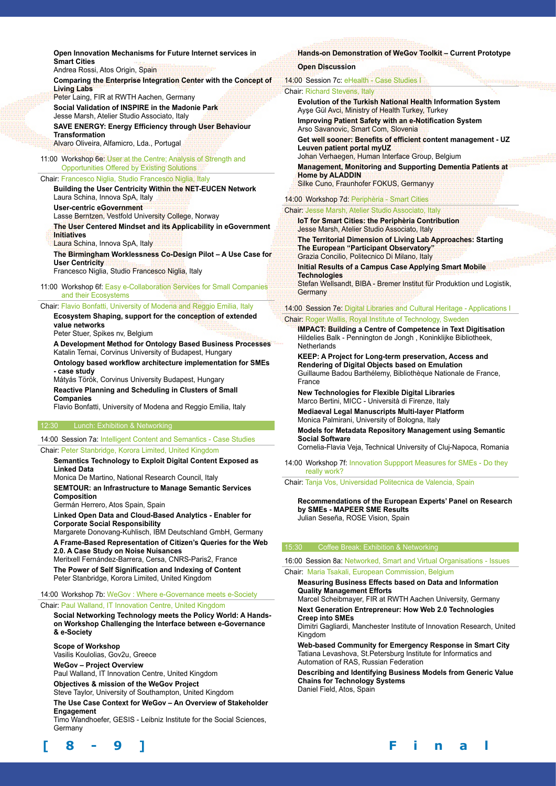**Open Innovation Mechanisms for Future Internet services in Smart Cities**

Andrea Rossi, Atos Origin, Spain **Comparing the Enterprise Integration Center with the Concept of** 

**Living Labs** Peter Laing, FIR at RWTH Aachen, Germany

**Social Validation of INSPIRE in the Madonie Park** Jesse Marsh, Atelier Studio Associato, Italy

**SAVE ENERGY: Energy Efficiency through User Behaviour Transformation**  Alvaro Oliveira, Alfamicro, Lda., Portugal

11:00 Workshop 6e: User at the Centre; Analysis of Strength and Opportunities Offered by Existing Solutions

#### Chair: Francesco Niglia, Studio Francesco Niglia, Italy

**Building the User Centricity Within the NET-EUCEN Network**  Laura Schina, Innova SpA, Italy **User-centric eGovernment**  Lasse Berntzen, Vestfold University College, Norway

**The User Centered Mindset and its Applicability in eGovernment Initiatives** 

Laura Schina, Innova SpA, Italy

**The Birmingham Worklessness Co-Design Pilot – A Use Case for User Centricity** 

Francesco Niglia, Studio Francesco Niglia, Italy

11:00 Workshop 6f: Easy e-Collaboration Services for Small Companies and their Ecosystems

Chair: Flavio Bonfatti, University of Modena and Reggio Emilia, Italy

**Ecosystem Shaping, support for the conception of extended value networks** 

Peter Stuer, Spikes nv, Belgium

**A Development Method for Ontology Based Business Processes**  Katalin Ternai, Corvinus University of Budapest, Hungary

**Ontology based workflow architecture implementation for SMEs - case study** 

Mátyás Török, Corvinus University Budapest, Hungary

**Reactive Planning and Scheduling in Clusters of Small Companies** 

Flavio Bonfatti, University of Modena and Reggio Emilia, Italy

#### 12:30 Lunch: Exhibition & Networking

14:00 Session 7a: Intelligent Content and Semantics - Case Studies

Chair: Peter Stanbridge, Korora Limited, United Kingdom

#### **Semantics Technology to Exploit Digital Content Exposed as Linked Data**

Monica De Martino, National Research Council, Italy

**SEMTOUR: an Infrastructure to Manage Semantic Services Composition** 

Germán Herrero, Atos Spain, Spain

**Linked Open Data and Cloud-Based Analytics - Enabler for Corporate Social Responsibility** 

Margarete Donovang-Kuhlisch, IBM Deutschland GmbH, Germany **A Frame-Based Representation of Citizen's Queries for the Web 2.0. A Case Study on Noise Nuisances** 

Meritxell Fernández-Barrera, Cersa, CNRS-Paris2, France **The Power of Self Signification and Indexing of Content**  Peter Stanbridge, Korora Limited, United Kingdom

#### 14:00 Workshop 7b: WeGov : Where e-Governance meets e-Society

#### Chair: Paul Walland, IT Innovation Centre, United Kingdom

**Social Networking Technology meets the Policy World: A Handson Workshop Challenging the Interface between e-Governance & e-Society**

**Scope of Workshop** 

Vasilis Koulolias, Gov2u, Greece

**WeGov – Project Overview** 

Paul Walland, IT Innovation Centre, United Kingdom

**Objectives & mission of the WeGov Project** 

Steve Taylor, University of Southampton, United Kingdom

**The Use Case Context for WeGov – An Overview of Stakeholder Engagement** 

Timo Wandhoefer, GESIS - Leibniz Institute for the Social Sciences, **Germany** 

# **Hands-on Demonstration of WeGov Toolkit – Current Prototype**

# **Open Discussion**

| 14:00 Session 7c: eHealth - Case Studies I                                                                                                      |  |
|-------------------------------------------------------------------------------------------------------------------------------------------------|--|
| <b>Chair: Richard Stevens, Italy</b>                                                                                                            |  |
| <b>Evolution of the Turkish National Health Information System</b><br>Ayse Gül Avci, Ministry of Health Turkey, Turkey                          |  |
| Improving Patient Safety with an e-Notification System<br>Arso Savanovic, Smart Com, Slovenia                                                   |  |
| Get well sooner: Benefits of efficient content management - UZ<br>Leuven patient portal myUZ<br>Johan Verhaegen, Human Interface Group, Belgium |  |
| <b>Management, Monitoring and Supporting Dementia Patients at</b><br><b>Home by ALADDIN</b><br>Silke Cuno, Fraunhofer FOKUS, Germanyy           |  |

## 14:00 Workshop 7d: Periphèria - Smart Cities

Chair: Jesse Marsh, Atelier Studio Associato, Italy **IoT for Smart Cities: the Periphèria Contribution** Jesse Marsh, Atelier Studio Associato, Italy **The Territorial Dimension of Living Lab Approaches: Starting The European "Participant Observatory"** Grazia Concilio, Politecnico Di Milano, Italy **Initial Results of a Campus Case Applying Smart Mobile Technologies** Stefan Wellsandt, BIBA - Bremer Institut für Produktion und Logistik. **Germany** 14:00 Session 7e: Digital Libraries and Cultural Heritage - Applications I Chair: Roger Wallis, Royal Institute of Technology, Sweden

**IMPACT: Building a Centre of Competence in Text Digitisation** Hildelies Balk - Pennington de Jongh , Koninklijke Bibliotheek, **Netherlands** 

**KEEP: A Project for Long-term preservation, Access and Rendering of Digital Objects based on Emulation** Guillaume Badou Barthélemy, Bibliothèque Nationale de France, France

**New Technologies for Flexible Digital Libraries** Marco Bertini, MICC - Università di Firenze, Italy

**Mediaeval Legal Manuscripts Multi-layer Platform** Monica Palmirani, University of Bologna, Italy

**Models for Metadata Repository Management using Semantic Social Software**

Cornelia-Flavia Veja, Technical University of Cluj-Napoca, Romania

14:00 Workshop 7f: Innovation Suppport Measures for SMEs - Do they really work?

Chair: Tanja Vos, Universidad Politecnica de Valencia, Spain

**Recommendations of the European Experts' Panel on Research by SMEs - MAPEER SME Results**  Julian Seseña, ROSE Vision, Spain

#### 15:30 Coffee Break: Exhibition & Networking

16:00 Session 8a: Networked, Smart and Virtual Organisations - Issues

#### Chair: Maria Tsakali, European Commission, Belgium

**Measuring Business Effects based on Data and Information Quality Management Efforts**

Marcel Scheibmayer, FIR at RWTH Aachen University, Germany **Next Generation Entrepreneur: How Web 2.0 Technologies Creep into SMEs**

Dimitri Gagliardi, Manchester Institute of Innovation Research, United Kingdom

**Web-based Community for Emergency Response in Smart City** Tatiana Levashova, St.Petersburg Institute for Informatics and Automation of RAS, Russian Federation

**Describing and Identifying Business Models from Generic Value Chains for Technology Systems**  Daniel Field, Atos, Spain

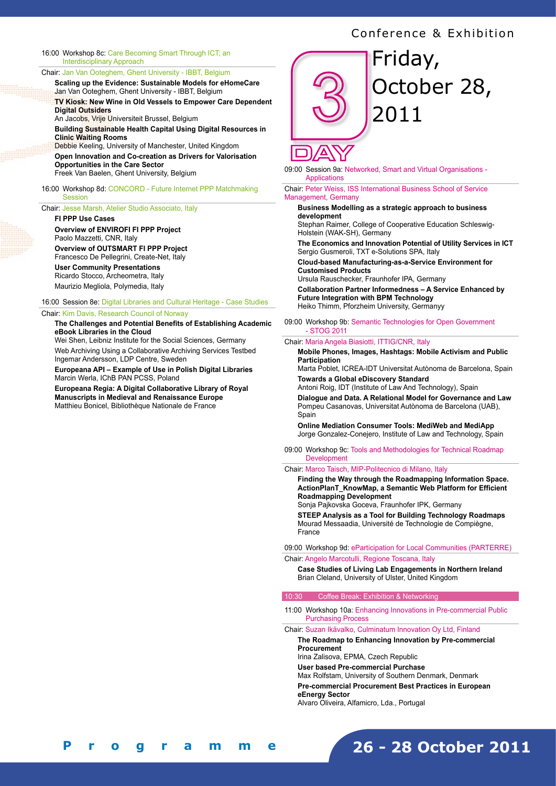#### 16:00 Workshop 8c: Care Becoming Smart Through ICT; an Interdisciplinary Approach

#### Chair: Jan Van Ooteghem, Ghent University - IBBT, Belgium

**Scaling up the Evidence: Sustainable Models for eHomeCare** Jan Van Ooteghem, Ghent University - IBBT, Belgium

**TV Kiosk: New Wine in Old Vessels to Empower Care Dependent Digital Outsiders**

An Jacobs, Vrije Universiteit Brussel, Belgium

**Building Sustainable Health Capital Using Digital Resources in Clinic Waiting Rooms** Debbie Keeling, University of Manchester, United Kingdom

**Open Innovation and Co-creation as Drivers for Valorisation Opportunities in the Care Sector** Freek Van Baelen, Ghent University, Belgium

16:00 Workshop 8d: CONCORD - Future Internet PPP Matchmaking **Session** 

#### Chair: Jesse Marsh, Atelier Studio Associato, Italy

#### **FI PPP Use Cases Overview of ENVIROFI FI PPP Project**  Paolo Mazzetti, CNR, Italy **Overview of OUTSMART FI PPP Project**  Francesco De Pellegrini, Create-Net, Italy **User Community Presentations**  Ricardo Stocco, Archeometra, Italy Maurizio Megliola, Polymedia, Italy

16:00 Session 8e: Digital Libraries and Cultural Heritage - Case Studies Chair: Kim Davis, Research Council of Norway

#### **The Challenges and Potential Benefits of Establishing Academic eBook Libraries in the Cloud**

Wei Shen, Leibniz Institute for the Social Sciences, Germany Web Archiving Using a Collaborative Archiving Services Testbed Ingemar Andersson, LDP Centre, Sweden

**Europeana API – Example of Use in Polish Digital Libraries** Marcin Werla, IChB PAN PCSS, Poland

**Europeana Regia: A Digital Collaborative Library of Royal Manuscripts in Medieval and Renaissance Europe** Matthieu Bonicel, Bibliothèque Nationale de France



# Friday, October 28, 2011

09:00 Session 9a: Networked, Smart and Virtual Organisations - Applications

Chair: Peter Weiss, ISS International Business School of Service Management, Germany

#### **Business Modelling as a strategic approach to business development**

Stephan Raimer, College of Cooperative Education Schleswig-Holstein (WAK-SH), Germany

**The Economics and Innovation Potential of Utility Services in ICT**  Sergio Gusmeroli, TXT e-Solutions SPA, Italy

**Cloud-based Manufacturing-as-a-Service Environment for Customised Products** 

Ursula Rauschecker, Fraunhofer IPA, Germany

**Collaboration Partner Informedness – A Service Enhanced by Future Integration with BPM Technology**  Heiko Thimm, Pforzheim University, Germanyy

09:00 Workshop 9b: Semantic Technologies for Open Government - STOG 2011

#### Chair: Maria Angela Biasiotti, ITTIG/CNR, Italy

**Mobile Phones, Images, Hashtags: Mobile Activism and Public Participation**

Marta Poblet, ICREA-IDT Universitat Autònoma de Barcelona, Spain **Towards a Global eDiscovery Standard**

Antoni Roig, IDT (Institute of Law And Technology), Spain

**Dialogue and Data. A Relational Model for Governance and Law** Pompeu Casanovas, Universitat Autònoma de Barcelona (UAB), Spain

**Online Mediation Consumer Tools: MediWeb and MediApp** Jorge Gonzalez-Conejero, Institute of Law and Technology, Spain

09:00 Workshop 9c: Tools and Methodologies for Technical Roadmap Development

#### Chair: Marco Taisch, MIP-Politecnico di Milano, Italy

**Finding the Way through the Roadmapping Information Space. ActionPlanT\_KnowMap, a Semantic Web Platform for Efficient Roadmapping Development**

Sonja Pajkovska Goceva, Fraunhofer IPK, Germany **STEEP Analysis as a Tool for Building Technology Roadmaps** Mourad Messaadia, Université de Technologie de Compiègne, France

09:00 Workshop 9d: eParticipation for Local Communities (PARTERRE)

Chair: Angelo Marcotulli, Regione Toscana, Italy

**Case Studies of Living Lab Engagements in Northern Ireland**  Brian Cleland, University of Ulster, United Kingdom

#### Coffee Break: Exhibition & Networking

11:00 Workshop 10a: Enhancing Innovations in Pre-commercial Public Purchasing Process

Chair: Suzan Ikävalko, Culminatum Innovation Oy Ltd, Finland

#### **The Roadmap to Enhancing Innovation by Pre-commercial Procurement**

Irina Zalisova, EPMA, Czech Republic

**User based Pre-commercial Purchase** 

Max Rolfstam, University of Southern Denmark, Denmark

**Pre-commercial Procurement Best Practices in European eEnergy Sector** 

Alvaro Oliveira, Alfamicro, Lda., Portugal

**[ 8 - 9 ] F i n a l P r o g r a m m e**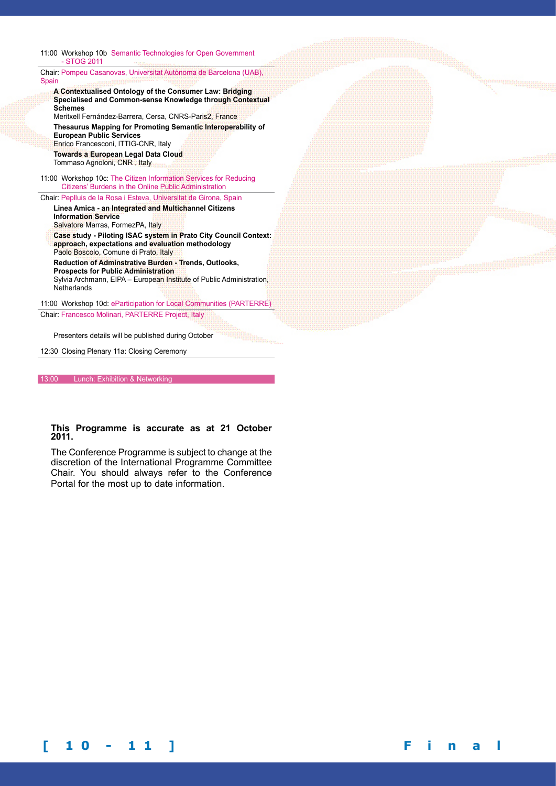#### 11:00 Workshop 10b Semantic Technologies for Open Government - STOG 2011

Chair: Pompeu Casanovas, Universitat Autònoma de Barcelona (UAB), **Spain** 

**A Contextualised Ontology of the Consumer Law: Bridging Specialised and Common-sense Knowledge through Contextual Schemes** Meritxell Fernández-Barrera, Cersa, CNRS-Paris2, France **Thesaurus Mapping for Promoting Semantic Interoperability of** 

**European Public Services**  Enrico Francesconi, ITTIG-CNR, Italy **Towards a European Legal Data Cloud** Tommaso Agnoloni, CNR , Italy

11:00 Workshop 10c: The Citizen Information Services for Reducing Citizens' Burdens in the Online Public Administration

Chair: Peplluis de la Rosa i Esteva, Universitat de Girona, Spain **Linea Amica - an Integrated and Multichannel Citizens** 

**Information Service** Salvatore Marras, FormezPA, Italy **Case study - Piloting ISAC system in Prato City Council Context: approach, expectations and evaluation methodology** Paolo Boscolo, Comune di Prato, Italy **Reduction of Adminstrative Burden - Trends, Outlooks, Prospects for Public Administration**  Sylvia Archmann, EIPA – European Institute of Public Administration, **Netherlands** 

11:00 Workshop 10d: eParticipation for Local Communities (PARTERRE) Chair: Francesco Molinari, PARTERRE Project, Italy

Presenters details will be published during October

12:30 Closing Plenary 11a: Closing Ceremony

13:00 Lunch: Exhibition & Networking

#### **This Programme is accurate as at 21 October 2011.**

The Conference Programme is subject to change at the discretion of the International Programme Committee Chair. You should always refer to the Conference Portal for the most up to date information.

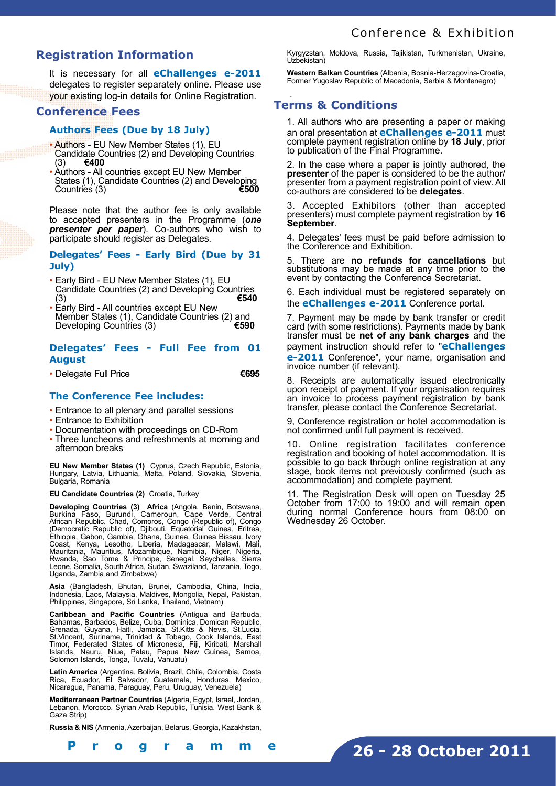# **Registration Information**

It is necessary for all **eChallenges e-2011** delegates to register separately online. Please use your existing log-in details for Online Registration.

# **Conference Fees**

# **Authors Fees (Due by 18 July)**

- Authors EU New Member States (1), EU Candidate Countries (2) and Developing Countries (3) **€400**
- Authors All countries except EU New Member States (1), Candidate Countries (2) and Developing<br>Countries (3) Countries (3)

Please note that the author fee is only available to accepted presenters in the Programme (*one presenter per paper*). Co-authors who wish to participate should register as Delegates.

## **Delegates' Fees - Early Bird (Due by 31 July)**

- Early Bird EU New Member States (1), EU Candidate Countries (2) and Developing Countries<br>(3) €540 (3) **€540**
- Early Bird All countries except EU New Member States (1), Candidate Countries (2) and<br>Developing Countries (3) Developing Countries (3)

# **Delegates' Fees - Full Fee from 01 August**

• Delegate Full Price **€695**

# **The Conference Fee includes:**

- Entrance to all plenary and parallel sessions
- Entrance to Exhibition
- Documentation with proceedings on CD-Rom
- Three luncheons and refreshments at morning and afternoon breaks

**EU New Member States (1)** Cyprus, Czech Republic, Estonia, Hungary, Latvia, Lithuania, Malta, Poland, Slovakia, Slovenia, Bulgaria, Romania

**EU Candidate Countries (2)** Croatia, Turkey

**Developing Countries (3) Africa** (Angola, Benin, Botswana, Burkina Faso, Burundi, Cameroun, Cape Verde, Central African Republic, Chad, Comoros, Congo (Republic of), Congo (Democratic Republic of), Djibouti, Equatorial Guinea, Eritrea, Ethiopia, Gabon, Gambia, Ghana, Guinea, Guinea Bissau, Ivory Coast, Kenya, Lesotho, Liberia, Madagascar, Malawi, Mali, Mauritania, Mauritius, Mozambique, Namibia, Niger, Nigeria, Rwanda, Sao Tome & Principe, Senegal, Seychelles, Sierra Leone, Somalia, South Africa, Sudan, Swaziland, Tanzania, Togo, Uganda, Zambia and Zimbabwe)

**Asia** (Bangladesh, Bhutan, Brunei, Cambodia, China, India, Indonesia, Laos, Malaysia, Maldives, Mongolia, Nepal, Pakistan, Philippines, Singapore, Sri Lanka, Thailand, Vietnam)

**Caribbean and Pacific Countries** (Antigua and Barbuda, Bahamas, Barbados, Belize, Cuba, Dominica, Domican Republic, Grenada, Guyana, Haiti, Jamaica, St.Kitts & Nevis, St.Lucia, St.Vincent, Suriname, Trinidad & Tobago, Cook Islands, East Timor, Federated States of Micronesia, Fiji, Kiribati, Marshall Islands, Nauru, Niue, Palau, Papua New Guinea, Samoa, Solomon Islands, Tonga, Tuvalu, Vanuatu)

**Latin America** (Argentina, Bolivia, Brazil, Chile, Colombia, Costa Rica, Ecuador, El Salvador, Guatemala, Honduras, Mexico, Nicaragua, Panama, Paraguay, Peru, Uruguay, Venezuela)

**Mediterranean Partner Countries** (Algeria, Egypt, Israel, Jordan,<br>Lebanon, Morocco, Syrian Arab Republic, Tunisia, West Bank & Gaza Strip)

**Russia & NIS** (Armenia, Azerbaijan, Belarus, Georgia, Kazakhstan,

**[ 1 0 - 1 1 ] F i n a l P r o g r a m m e**

Kyrgyzstan, Moldova, Russia, Tajikistan, Turkmenistan, Ukraine, Uzbekistan)

**Western Balkan Countries** (Albania, Bosnia-Herzegovina-Croatia, Former Yugoslav Republic of Macedonia, Serbia & Montenegro)

## . **Terms & Conditions**

1. All authors who are presenting a paper or making an oral presentation at **eChallenges e-2011** must complete payment registration online by **18 July**, prior to publication of the Final Programme.

2. In the case where a paper is jointly authored, the **presenter** of the paper is considered to be the author/ presenter from a payment registration point of view. All co-authors are considered to be **delegates**.

3. Accepted Exhibitors (other than accepted presenters) must complete payment registration by **16 September**.

4. Delegates' fees must be paid before admission to the Conference and Exhibition.

5. There are **no refunds for cancellations** but substitutions may be made at any time prior to the event by contacting the Conference Secretariat.

6. Each individual must be registered separately on the **eChallenges e-2011** Conference portal.

7. Payment may be made by bank transfer or credit card (with some restrictions). Payments made by bank transfer must be **net of any bank charges** and the payment instruction should refer to "**eChallenges e-2011** Conference", your name, organisation and invoice number (if relevant).

8. Receipts are automatically issued electronically upon receipt of payment. If your organisation requires an invoice to process payment registration by bank transfer, please contact the Conference Secretariat.

9, Conference registration or hotel accommodation is not confirmed until full payment is received.

10. Online registration facilitates conference registration and booking of hotel accommodation. It is possible to go back through online registration at any stage, book items not previously confirmed (such as accommodation) and complete payment.

11. The Registration Desk will open on Tuesday 25 October from 17:00 to 19:00 and will remain open during normal Conference hours from 08:00 on Wednesday 26 October.